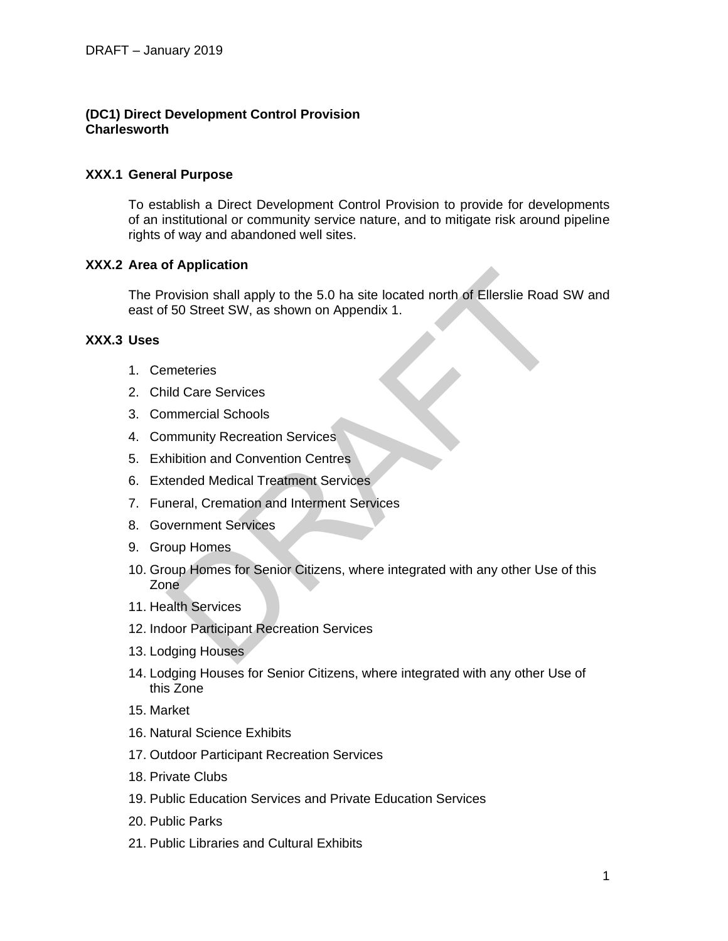# **(DC1) Direct Development Control Provision Charlesworth**

### **XXX.1 General Purpose**

To establish a Direct Development Control Provision to provide for developments of an institutional or community service nature, and to mitigate risk around pipeline rights of way and abandoned well sites.

### **XXX.2 Area of Application**

The Provision shall apply to the 5.0 ha site located north of Ellerslie Road SW and east of 50 Street SW, as shown on Appendix 1.

# **XXX.3 Uses**

- 1. Cemeteries
- 2. Child Care Services
- 3. Commercial Schools
- 4. Community Recreation Services
- 5. Exhibition and Convention Centres
- 6. Extended Medical Treatment Services
- 7. Funeral, Cremation and Interment Services
- 8. Government Services
- 9. Group Homes
- 10. Group Homes for Senior Citizens, where integrated with any other Use of this Zone or [A](javascript:void(0);)pplication:<br>
Trovision shall apply to the 5.0 ha site located north of Ellerslie Road<br>
50 Street SW, as shown on Appendix 1.<br>
Interferies<br>
ild Care Services<br>
ild Care Services<br>
Ilmeteries<br>
ild Care Services<br>
Interferie
- 11. Health Services
- 12. Indoor Participant Recreation Services
- 13. Lodging Houses
- 14. Lodging Houses for Senior Citizens, where integrated with any other Use of this Zone
- 15. Market
- 16. Natural Science Exhibits
- 17. Outdoor Participant Recreation Services
- 18. Private Clubs
- 19. [Public Education Services](javascript:void(0);) and [Private Education Services](javascript:void(0);)
- 20. Public Parks
- 21. Public Libraries and Cultural Exhibits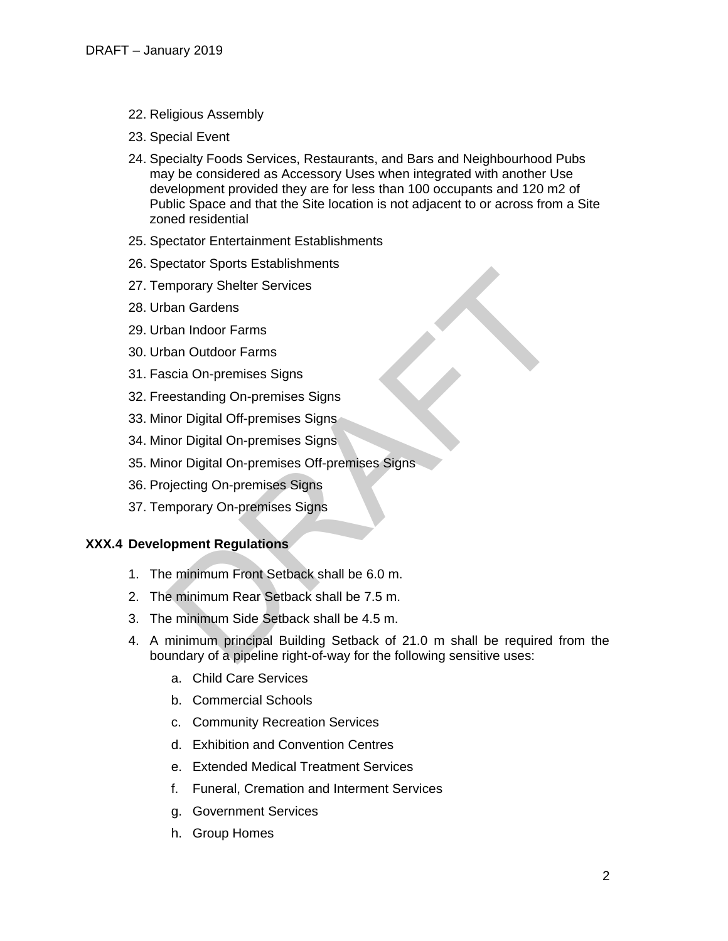- 22. Religious Assembly
- 23. Special Event
- 24. Specialty Foods Services, Restaurants, and Bars and Neighbourhood Pubs may be considered as Accessory Uses when integrated with another Use development provided they are for less than 100 occupants and 120 m2 of Public Space and that the Site location is not adjacent to or across from a Site zoned residential
- 25. Spectator Entertainment Establishments
- 26. Spectator Sports Establishments
- 27. Temporary Shelter Services
- 28. Urban Gardens
- 29. Urban Indoor Farms
- 30. Urban Outdoor Farms
- 31. Fascia On-premises Signs
- 32. Freestanding On-premises Signs
- 33. Minor Digital Off-premises Signs
- 34. Minor Digital On-premises Signs
- 35. Minor Digital On-premises Off-premises Signs
- 36. Projecting On-premises Signs
- 37. Temporary On-premises Signs

#### **XXX.4 Development Regulations**

- 1. The minimum Front Setback shall be 6.0 m.
- 2. The minimum Rear Setback shall be 7.5 m.
- 3. The minimum Side Setback shall be 4.5 m.
- 4. A minimum principal Building Setback of 21.0 m shall be required from the boundary of a pipeline right-of-way for the following sensitive uses: mporary Shelter Services<br>
mporary Shelter Services<br>
Dan Outdoor Farms<br>
Scia On-premises Signs<br>
estanding On-premises Signs<br>
nor Digital On-premises Signs<br>
nor Digital On-premises Signs<br>
piecting On-premises Signs<br>
piecting
	- a. [Child Care Services](javascript:void(0);)
	- b. Commercial Schools
	- c. Community Recreation Services
	- d. Exhibition and Convention Centres
	- e. Extended Medical Treatment Services
	- f. Funeral, Cremation and Interment Services
	- g. Government Services
	- h. Group Homes